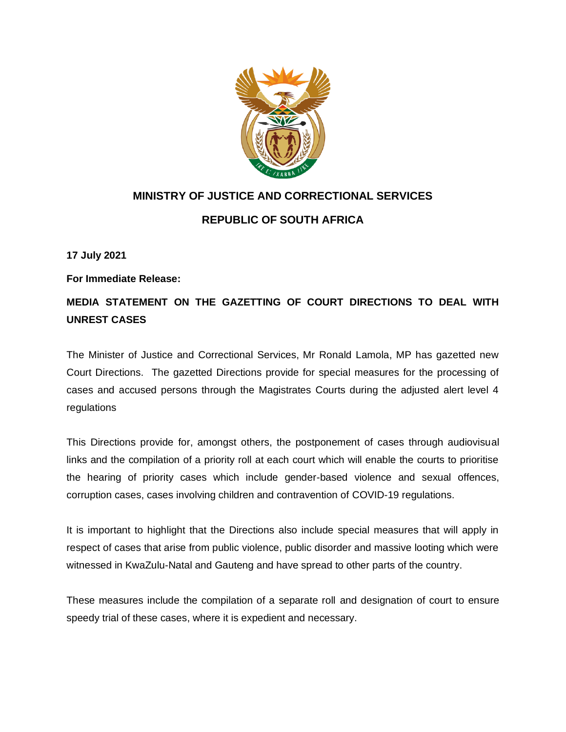

## **MINISTRY OF JUSTICE AND CORRECTIONAL SERVICES REPUBLIC OF SOUTH AFRICA**

**17 July 2021**

**For Immediate Release:**

## **MEDIA STATEMENT ON THE GAZETTING OF COURT DIRECTIONS TO DEAL WITH UNREST CASES**

The Minister of Justice and Correctional Services, Mr Ronald Lamola, MP has gazetted new Court Directions. The gazetted Directions provide for special measures for the processing of cases and accused persons through the Magistrates Courts during the adjusted alert level 4 regulations

This Directions provide for, amongst others, the postponement of cases through audiovisual links and the compilation of a priority roll at each court which will enable the courts to prioritise the hearing of priority cases which include gender-based violence and sexual offences, corruption cases, cases involving children and contravention of COVID-19 regulations.

It is important to highlight that the Directions also include special measures that will apply in respect of cases that arise from public violence, public disorder and massive looting which were witnessed in KwaZulu-Natal and Gauteng and have spread to other parts of the country.

These measures include the compilation of a separate roll and designation of court to ensure speedy trial of these cases, where it is expedient and necessary.